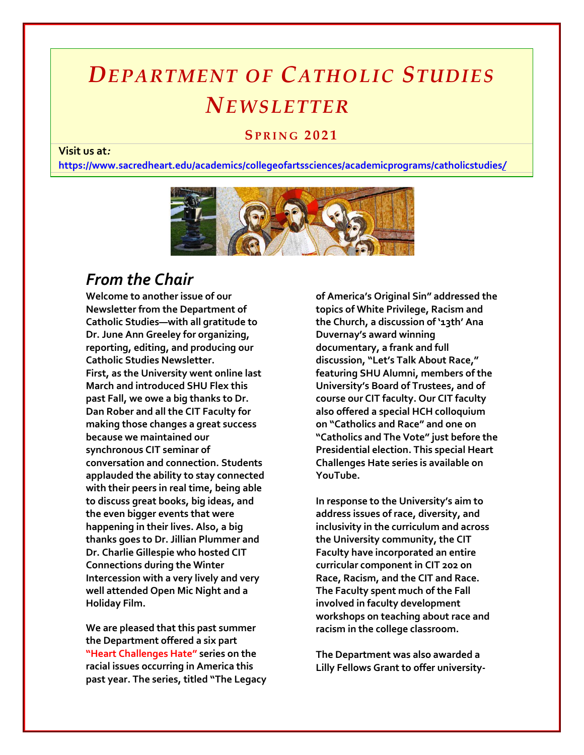# *DEPARTMENT OF CATHOLIC STUDIES NEWSLETTER*

## **SP R I N G 2021**

## **Visit us at***:*

**[https://www.sacredheart.edu/academics/collegeofartssciences/academicprograms/catholicstudies](https://www.sacredheart.edu/academics/collegeofartssciences/academicprograms/catholicstudies/)***[/](https://www.sacredheart.edu/academics/collegeofartssciences/academicprograms/catholicstudies/)*



## *From the Chair*

**Welcome to another issue of our Newsletter from the Department of Catholic Studies—with all gratitude to Dr. June Ann Greeley for organizing, reporting, editing, and producing our Catholic Studies Newsletter. First, as the University went online last March and introduced SHU Flex this past Fall, we owe a big thanks to Dr. Dan Rober and all the CIT Faculty for making those changes a great success because we maintained our synchronous CIT seminar of conversation and connection. Students applauded the ability to stay connected with their peers in real time, being able to discuss great books, big ideas, and the even bigger events that were happening in their lives. Also, a big thanks goes to Dr. Jillian Plummer and Dr. Charlie Gillespie who hosted CIT Connections during the Winter Intercession with a very lively and very well attended Open Mic Night and a Holiday Film.**

**We are pleased that this past summer the Department offered a six part "Heart Challenges Hate" series on the racial issues occurring in America this past year. The series, titled "The Legacy**  **of America's Original Sin" addressed the topics of White Privilege, Racism and the Church, a discussion of '13th' Ana Duvernay's award winning documentary, a frank and full discussion, "Let's Talk About Race," featuring SHU Alumni, members of the University's Board of Trustees, and of course our CIT faculty. Our CIT faculty also offered a special HCH colloquium on "Catholics and Race" and one on "Catholics and The Vote" just before the Presidential election. This special Heart Challenges Hate series is available on YouTube.**

**In response to the University's aim to address issues of race, diversity, and inclusivity in the curriculum and across the University community, the CIT Faculty have incorporated an entire curricular component in CIT 202 on Race, Racism, and the CIT and Race. The Faculty spent much of the Fall involved in faculty development workshops on teaching about race and racism in the college classroom.**

**The Department was also awarded a Lilly Fellows Grant to offer university-**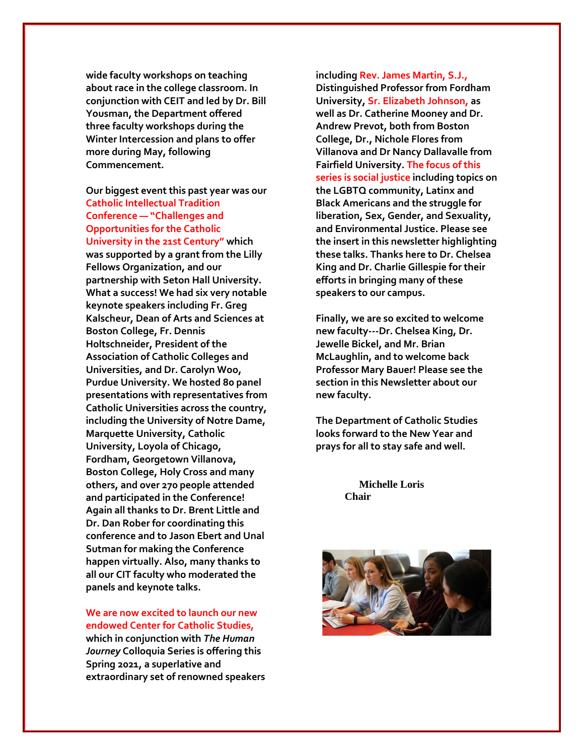**wide faculty workshops on teaching about race in the college classroom. In conjunction with CEIT and led by Dr. Bill Yousman, the Department offered three faculty workshops during the Winter Intercession and plans to offer more during May, following Commencement.**

**Our biggest event this past year was our Catholic Intellectual Tradition Conference — "Challenges and Opportunities for the Catholic University in the 21st Century" which was supported by a grant from the Lilly Fellows Organization, and our partnership with Seton Hall University. What a success! We had six very notable keynote speakers including Fr. Greg Kalscheur, Dean of Arts and Sciences at Boston College, Fr. Dennis Holtschneider, President of the Association of Catholic Colleges and Universities, and Dr. Carolyn Woo, Purdue University. We hosted 80 panel presentations with representatives from Catholic Universities across the country, including the University of Notre Dame, Marquette University, Catholic University, Loyola of Chicago, Fordham, Georgetown Villanova, Boston College, Holy Cross and many others, and over 270 people attended and participated in the Conference! Again all thanks to Dr. Brent Little and Dr. Dan Rober for coordinating this conference and to Jason Ebert and Unal Sutman for making the Conference happen virtually. Also, many thanks to all our CIT faculty who moderated the panels and keynote talks.**

**We are now excited to launch our new endowed Center for Catholic Studies, which in conjunction with** *The Human Journey* **Colloquia Series is offering this Spring 2021, a superlative and extraordinary set of renowned speakers**  **including Rev. James Martin, S.J., Distinguished Professor from Fordham University, Sr. Elizabeth Johnson, as well as Dr. Catherine Mooney and Dr. Andrew Prevot, both from Boston College, Dr., Nichole Flores from Villanova and Dr Nancy Dallavalle from Fairfield University. The focus of this series is social justice including topics on the LGBTQ community, Latinx and Black Americans and the struggle for liberation, Sex, Gender, and Sexuality, and Environmental Justice. Please see the insert in this newsletter highlighting these talks. Thanks here to Dr. Chelsea King and Dr. Charlie Gillespie for their efforts in bringing many of these speakers to our campus.**

**Finally, we are so excited to welcome new faculty---Dr. Chelsea King, Dr. Jewelle Bickel, and Mr. Brian McLaughlin, and to welcome back Professor Mary Bauer! Please see the section in this Newsletter about our new faculty.**

**The Department of Catholic Studies looks forward to the New Year and prays for all to stay safe and well.**

> **Michelle Loris Chair**

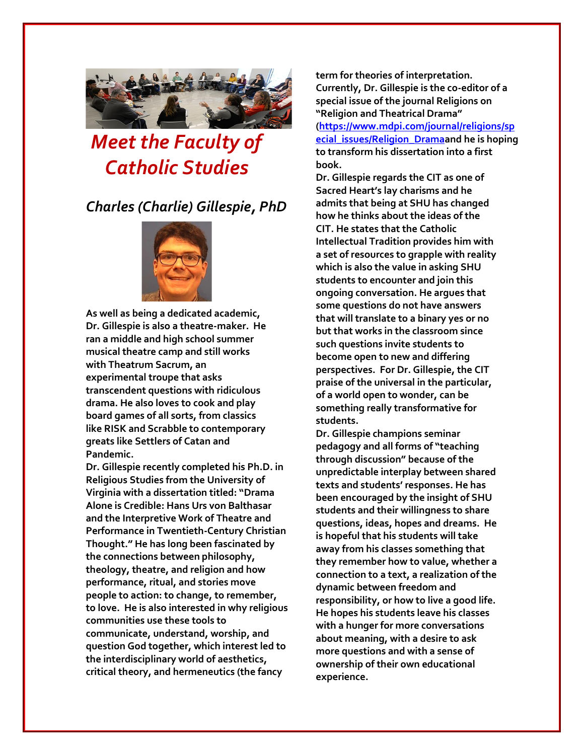

# *Meet the Faculty of Catholic Studies*

## *Charles (Charlie) Gillespie, PhD*



**As well as being a dedicated academic, Dr. Gillespie is also a theatre-maker. He ran a middle and high school summer musical theatre camp and still works with Theatrum Sacrum, an experimental troupe that asks transcendent questions with ridiculous drama. He also loves to cook and play board games of all sorts, from classics like RISK and Scrabble to contemporary greats like Settlers of Catan and Pandemic.**

**Dr. Gillespie recently completed his Ph.D. in Religious Studies from the University of Virginia with a dissertation titled: "Drama Alone is Credible: Hans Urs von Balthasar and the Interpretive Work of Theatre and Performance in Twentieth-Century Christian Thought." He has long been fascinated by the connections between philosophy, theology, theatre, and religion and how performance, ritual, and stories move people to action: to change, to remember, to love. He is also interested in why religious communities use these tools to communicate, understand, worship, and question God together, which interest led to the interdisciplinary world of aesthetics, critical theory, and hermeneutics (the fancy** 

**term for theories of interpretation. Currently, Dr. Gillespie is the co-editor of a special issue of the journal Religions on "Religion and Theatrical Drama" [\(https://www.mdpi.com/journal/religions/sp](https://www.mdpi.com/journal/religions/special_issues/Religion_Drama) [ecial\\_issues/Religion\\_Dramaa](https://www.mdpi.com/journal/religions/special_issues/Religion_Drama)nd he is hoping to transform his dissertation into a first book.** 

**Dr. Gillespie regards the CIT as one of Sacred Heart's lay charisms and he admits that being at SHU has changed how he thinks about the ideas of the CIT. He states that the Catholic Intellectual Tradition provides him with a set of resources to grapple with reality which is also the value in asking SHU students to encounter and join this ongoing conversation. He argues that some questions do not have answers that will translate to a binary yes or no but that works in the classroom since such questions invite students to become open to new and differing perspectives. For Dr. Gillespie, the CIT praise of the universal in the particular, of a world open to wonder, can be something really transformative for students.**

**Dr. Gillespie champions seminar pedagogy and all forms of "teaching through discussion" because of the unpredictable interplay between shared texts and students' responses. He has been encouraged by the insight of SHU students and their willingness to share questions, ideas, hopes and dreams. He is hopeful that his students will take away from his classes something that they remember how to value, whether a connection to a text, a realization of the dynamic between freedom and responsibility, or how to live a good life. He hopes his students leave his classes with a hunger for more conversations about meaning, with a desire to ask more questions and with a sense of ownership of their own educational experience.**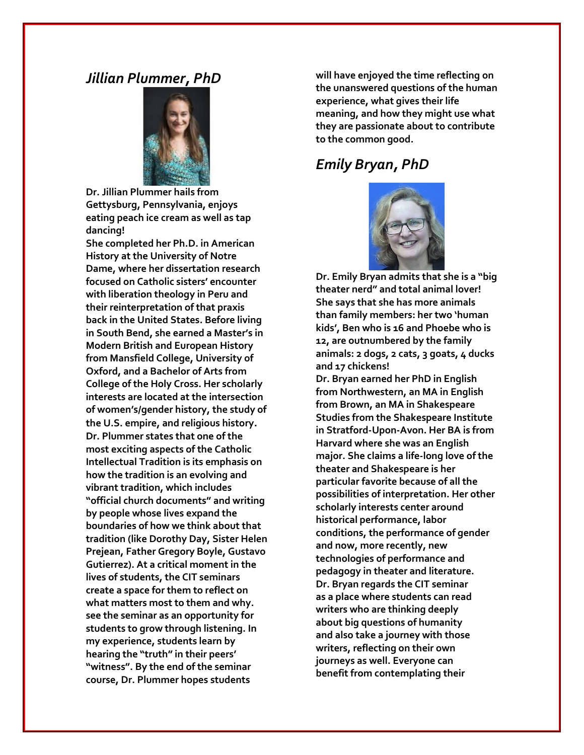## *Jillian Plummer, PhD*



**Dr. Jillian Plummer hails from Gettysburg, Pennsylvania, enjoys eating peach ice cream as well as tap dancing!** 

**She completed her Ph.D. in American History at the University of Notre Dame, where her dissertation research focused on Catholic sisters' encounter with liberation theology in Peru and their reinterpretation of that praxis back in the United States. Before living in South Bend, she earned a Master's in Modern British and European History from Mansfield College, University of Oxford, and a Bachelor of Arts from College of the Holy Cross. Her scholarly interests are located at the intersection of women's/gender history, the study of the U.S. empire, and religious history. Dr. Plummer states that one of the most exciting aspects of the Catholic Intellectual Tradition is its emphasis on how the tradition is an evolving and vibrant tradition, which includes "official church documents" and writing by people whose lives expand the boundaries of how we think about that tradition (like Dorothy Day, Sister Helen Prejean, Father Gregory Boyle, Gustavo Gutierrez). At a critical moment in the lives of students, the CIT seminars create a space for them to reflect on what matters most to them and why. see the seminar as an opportunity for students to grow through listening. In my experience, students learn by hearing the "truth" in their peers' "witness". By the end of the seminar course, Dr. Plummer hopes students** 

**will have enjoyed the time reflecting on the unanswered questions of the human experience, what gives their life meaning, and how they might use what they are passionate about to contribute to the common good.**

## *Emily Bryan, PhD*



**Dr. Emily Bryan admits that she is a "big theater nerd" and total animal lover! She says that she has more animals than family members: her two 'human kids', Ben who is 16 and Phoebe who is 12, are outnumbered by the family animals: 2 dogs, 2 cats, 3 goats, 4 ducks and 17 chickens!**

**Dr. Bryan earned her PhD in English from Northwestern, an MA in English from Brown, an MA in Shakespeare Studies from the Shakespeare Institute in Stratford-Upon-Avon. Her BA is from Harvard where she was an English major. She claims a life-long love of the theater and Shakespeare is her particular favorite because of all the possibilities of interpretation. Her other scholarly interests center around historical performance, labor conditions, the performance of gender and now, more recently, new technologies of performance and pedagogy in theater and literature. Dr. Bryan regards the CIT seminar as a place where students can read writers who are thinking deeply about big questions of humanity and also take a journey with those writers, reflecting on their own journeys as well. Everyone can benefit from contemplating their**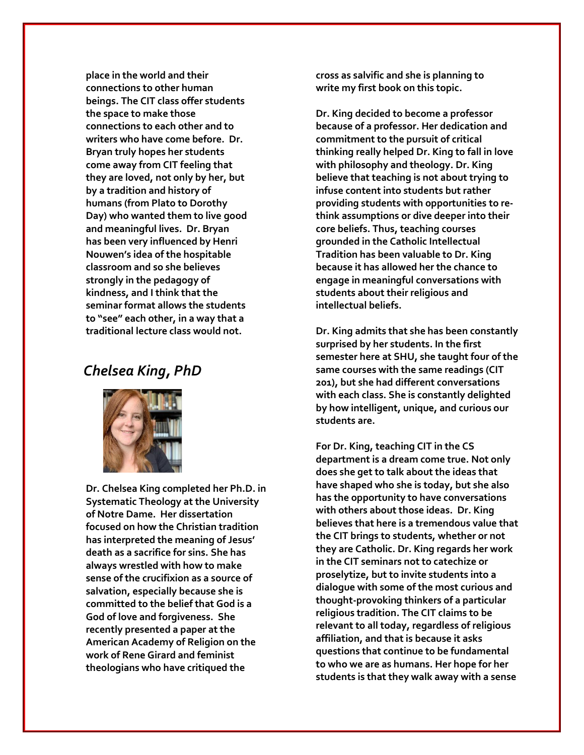**place in the world and their connections to other human beings. The CIT class offer students the space to make those connections to each other and to writers who have come before. Dr. Bryan truly hopes her students come away from CIT feeling that they are loved, not only by her, but by a tradition and history of humans (from Plato to Dorothy Day) who wanted them to live good and meaningful lives. Dr. Bryan has been very influenced by Henri Nouwen's idea of the hospitable classroom and so she believes strongly in the pedagogy of kindness, and I think that the seminar format allows the students to "see" each other, in a way that a traditional lecture class would not.** 

## *Chelsea King, PhD*



**Dr. Chelsea King completed her Ph.D. in Systematic Theology at the University of Notre Dame. Her dissertation focused on how the Christian tradition has interpreted the meaning of Jesus' death as a sacrifice for sins. She has always wrestled with how to make sense of the crucifixion as a source of salvation, especially because she is committed to the belief that God is a God of love and forgiveness. She recently presented a paper at the American Academy of Religion on the work of Rene Girard and feminist theologians who have critiqued the** 

**cross as salvific and she is planning to write my first book on this topic.**

**Dr. King decided to become a professor because of a professor. Her dedication and commitment to the pursuit of critical thinking really helped Dr. King to fall in love with philosophy and theology. Dr. King believe that teaching is not about trying to infuse content into students but rather providing students with opportunities to rethink assumptions or dive deeper into their core beliefs. Thus, teaching courses grounded in the Catholic Intellectual Tradition has been valuable to Dr. King because it has allowed her the chance to engage in meaningful conversations with students about their religious and intellectual beliefs.**

**Dr. King admits that she has been constantly surprised by her students. In the first semester here at SHU, she taught four of the same courses with the same readings (CIT 201), but she had different conversations with each class. She is constantly delighted by how intelligent, unique, and curious our students are.** 

**For Dr. King, teaching CIT in the CS department is a dream come true. Not only does she get to talk about the ideas that have shaped who she is today, but she also has the opportunity to have conversations with others about those ideas. Dr. King believes that here is a tremendous value that the CIT brings to students, whether or not they are Catholic. Dr. King regards her work in the CIT seminars not to catechize or proselytize, but to invite students into a dialogue with some of the most curious and thought-provoking thinkers of a particular religious tradition. The CIT claims to be relevant to all today, regardless of religious affiliation, and that is because it asks questions that continue to be fundamental to who we are as humans. Her hope for her students is that they walk away with a sense**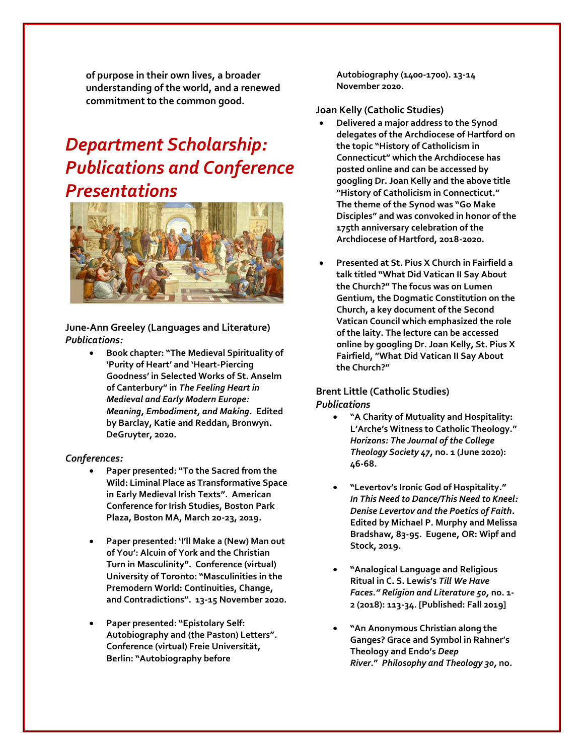**of purpose in their own lives, a broader understanding of the world, and a renewed commitment to the common good.**

## *Department Scholarship: Publications and Conference Presentations*



**June-Ann Greeley (Languages and Literature)** *Publications:*

> • **Book chapter: "The Medieval Spirituality of 'Purity of Heart' and 'Heart-Piercing Goodness' in Selected Works of St. Anselm of Canterbury" in** *The Feeling Heart in Medieval and Early Modern Europe: Meaning, Embodiment, and Making.* **Edited by Barclay, Katie and Reddan, Bronwyn. DeGruyter, 2020.**

### *Conferences:*

- **Paper presented: "To the Sacred from the Wild: Liminal Place as Transformative Space in Early Medieval Irish Texts". American Conference for Irish Studies, Boston Park Plaza, Boston MA, March 20-23, 2019.**
- **Paper presented: 'I'll Make a (New) Man out of You': Alcuin of York and the Christian Turn in Masculinity". Conference (virtual) University of Toronto: "Masculinities in the Premodern World: Continuities, Change, and Contradictions". 13-15 November 2020.**
- **Paper presented: "Epistolary Self: Autobiography and (the Paston) Letters". Conference (virtual) Freie Universität, Berlin: "Autobiography before**

**Autobiography (1400-1700). 13-14 November 2020.**

#### **Joan Kelly (Catholic Studies)**

- **Delivered a major address to the Synod delegates of the Archdiocese of Hartford on the topic "History of Catholicism in Connecticut" which the Archdiocese has posted online and can be accessed by googling Dr. Joan Kelly and the above title "History of Catholicism in Connecticut." The theme of the Synod was "Go Make Disciples" and was convoked in honor of the 175th anniversary celebration of the Archdiocese of Hartford, 2018-2020.**
- **Presented at St. Pius X Church in Fairfield a talk titled "What Did Vatican II Say About the Church?" The focus was on Lumen Gentium, the Dogmatic Constitution on the Church, a key document of the Second Vatican Council which emphasized the role of the laity. The lecture can be accessed online by googling Dr. Joan Kelly, St. Pius X Fairfield, "What Did Vatican II Say About the Church?"**

### **Brent Little (Catholic Studies)** *Publications*

- **"A Charity of Mutuality and Hospitality: L'Arche's Witness to Catholic Theology."** *Horizons: The Journal of the College Theology Society 47,* **no. 1 (June 2020): 46-68***.*
- **"Levertov's Ironic God of Hospitality."** *In This Need to Dance/This Need to Kneel: Denise Levertov and the Poetics of Faith.*  **Edited by Michael P. Murphy and Melissa Bradshaw, 83-95. Eugene, OR: Wipf and Stock, 2019.**
- **"Analogical Language and Religious Ritual in C. S. Lewis's** *Till We Have Faces." Religion and Literature 50,* **no. 1- 2 (2018): 113-34. [Published: Fall 2019]**
- **"An Anonymous Christian along the Ganges? Grace and Symbol in Rahner's Theology and Endo's** *Deep River***."** *Philosophy and Theology 30,* **no.**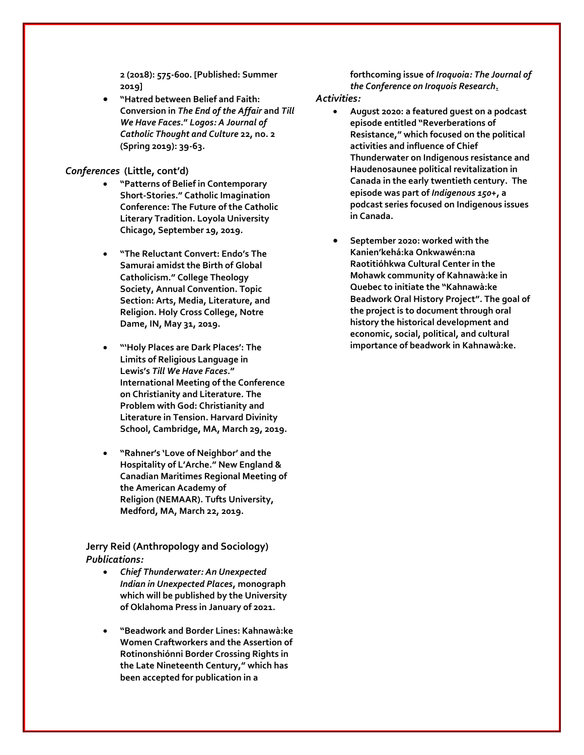**2 (2018): 575-600. [Published: Summer 2019]**

• **"Hatred between Belief and Faith: Conversion in** *The End of the Affair* **and** *Till We Have Faces***."** *Logos: A Journal of Catholic Thought and Culture* **22, no. 2 (Spring 2019): 39-63.**

#### *Conferences* **(Little, cont'd)**

- **"Patterns of Belief in Contemporary Short-Stories." Catholic Imagination Conference: The Future of the Catholic Literary Tradition. Loyola University Chicago, September 19, 2019.**
- **"The Reluctant Convert: Endo's The Samurai amidst the Birth of Global Catholicism." College Theology Society, Annual Convention. Topic Section: Arts, Media, Literature, and Religion. Holy Cross College, Notre Dame, IN, May 31, 2019.**
- **"'Holy Places are Dark Places': The Limits of Religious Language in Lewis's** *Till We Have Faces***." International Meeting of the Conference on Christianity and Literature. The Problem with God: Christianity and Literature in Tension. Harvard Divinity School, Cambridge, MA, March 29, 2019.**
- **"Rahner's 'Love of Neighbor' and the Hospitality of L'Arche." New England & Canadian Maritimes Regional Meeting of the American Academy of Religion (NEMAAR). Tufts University, Medford, MA, March 22, 2019.**

## **Jerry Reid (Anthropology and Sociology)** *Publications:*

- *Chief Thunderwater: An Unexpected Indian in Unexpected Places***, monograph which will be published by the University of Oklahoma Press in January of 2021.**
- **"Beadwork and Border Lines: Kahnawà:ke Women Craftworkers and the Assertion of Rotinonshiónni Border Crossing Rights in the Late Nineteenth Century," which has been accepted for publication in a**

**forthcoming issue of** *Iroquoia: The Journal of the Conference on Iroquois Research.*

#### *Activities:*

- **August 2020: a featured guest on a podcast episode entitled "Reverberations of Resistance," which focused on the political activities and influence of Chief Thunderwater on Indigenous resistance and Haudenosaunee political revitalization in Canada in the early twentieth century. The episode was part of** *Indigenous 150+***, a podcast series focused on Indigenous issues in Canada.**
- **September 2020: worked with the Kanien'kehá:ka Onkwawén:na Raotitióhkwa Cultural Center in the Mohawk community of Kahnawà:ke in Quebec to initiate the "Kahnawà:ke Beadwork Oral History Project". The goal of the project is to document through oral history the historical development and economic, social, political, and cultural importance of beadwork in Kahnawà:ke.**